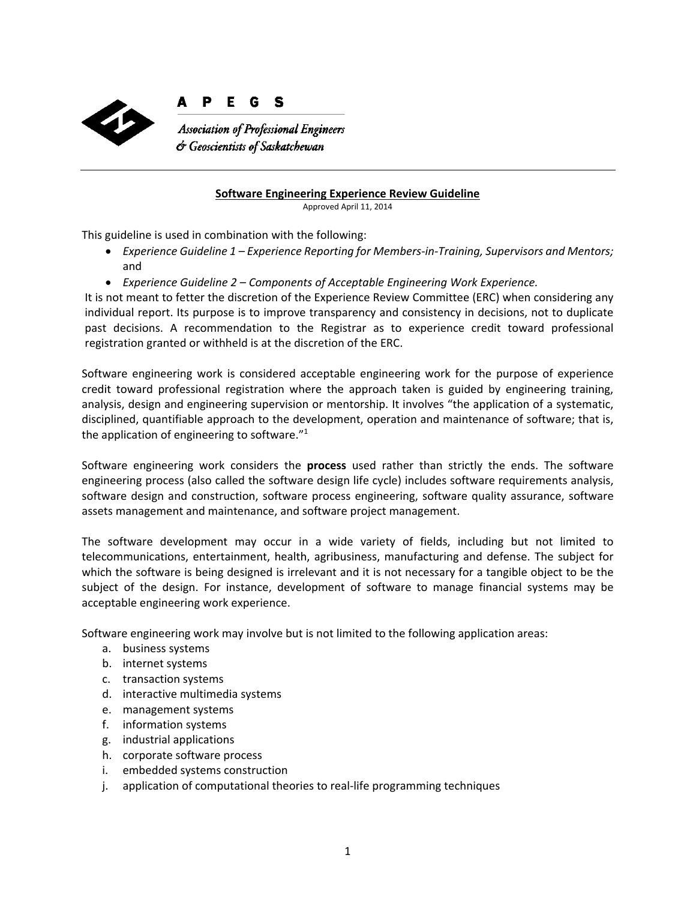

#### P Е G S

**Association of Professional Engineers** & Geoscientists of Saskatchewan

#### **Software Engineering Experience Review Guideline**

Approved April 11, 2014

This guideline is used in combination with the following:

- *Experience Guideline 1 – Experience Reporting for Members‐in‐Training, Supervisors and Mentors;* and
- *Experience Guideline 2 – Components of Acceptable Engineering Work Experience.*

It is not meant to fetter the discretion of the Experience Review Committee (ERC) when considering any individual report. Its purpose is to improve transparency and consistency in decisions, not to duplicate past decisions. A recommendation to the Registrar as to experience credit toward professional registration granted or withheld is at the discretion of the ERC.

Software engineering work is considered acceptable engineering work for the purpose of experience credit toward professional registration where the approach taken is guided by engineering training, analysis, design and engineering supervision or mentorship. It involves "the application of a systematic, disciplined, quantifiable approach to the development, operation and maintenance of software; that is, the application of engineering to software."<sup>1</sup>

Software engineering work considers the **process** used rather than strictly the ends. The software engineering process (also called the software design life cycle) includes software requirements analysis, software design and construction, software process engineering, software quality assurance, software assets management and maintenance, and software project management.

The software development may occur in a wide variety of fields, including but not limited to telecommunications, entertainment, health, agribusiness, manufacturing and defense. The subject for which the software is being designed is irrelevant and it is not necessary for a tangible object to be the subject of the design. For instance, development of software to manage financial systems may be acceptable engineering work experience.

Software engineering work may involve but is not limited to the following application areas:

- a. business systems
- b. internet systems
- c. transaction systems
- d. interactive multimedia systems
- e. management systems
- f. information systems
- g. industrial applications
- h. corporate software process
- i. embedded systems construction
- j. application of computational theories to real‐life programming techniques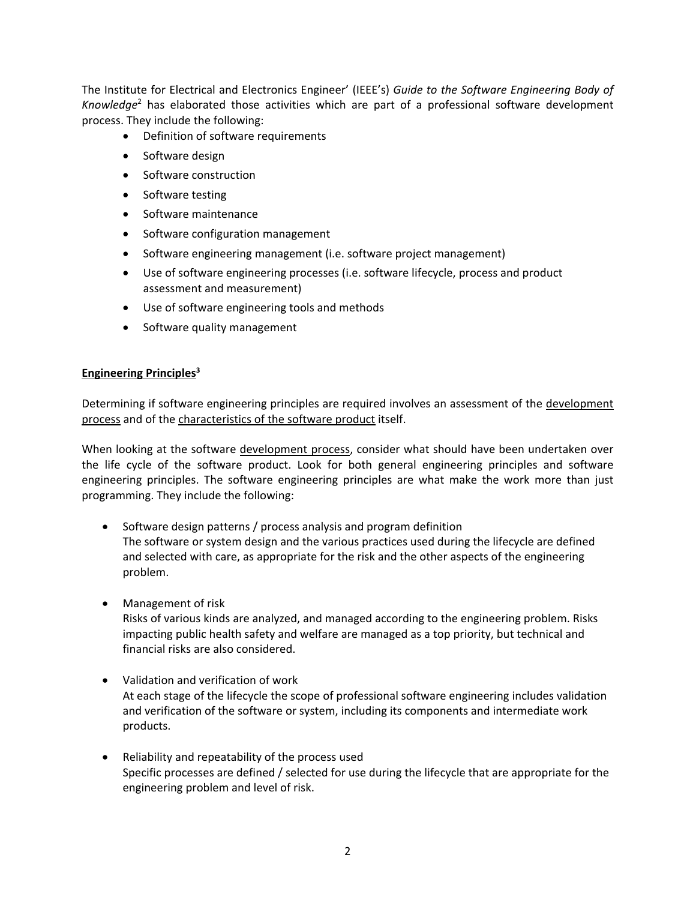The Institute for Electrical and Electronics Engineer' (IEEE's) *Guide to the Software Engineering Body of Knowledge*<sup>2</sup> has elaborated those activities which are part of a professional software development process. They include the following:

- Definition of software requirements
- Software design
- Software construction
- Software testing
- Software maintenance
- Software configuration management
- Software engineering management (i.e. software project management)
- Use of software engineering processes (i.e. software lifecycle, process and product assessment and measurement)
- Use of software engineering tools and methods
- Software quality management

#### **Engineering Principles**<sup>3</sup>

Determining if software engineering principles are required involves an assessment of the development process and of the characteristics of the software product itself.

When looking at the software development process, consider what should have been undertaken over the life cycle of the software product. Look for both general engineering principles and software engineering principles. The software engineering principles are what make the work more than just programming. They include the following:

- Software design patterns / process analysis and program definition The software or system design and the various practices used during the lifecycle are defined and selected with care, as appropriate for the risk and the other aspects of the engineering problem.
- Management of risk Risks of various kinds are analyzed, and managed according to the engineering problem. Risks impacting public health safety and welfare are managed as a top priority, but technical and financial risks are also considered.
- Validation and verification of work At each stage of the lifecycle the scope of professional software engineering includes validation and verification of the software or system, including its components and intermediate work products.
- Reliability and repeatability of the process used Specific processes are defined / selected for use during the lifecycle that are appropriate for the engineering problem and level of risk.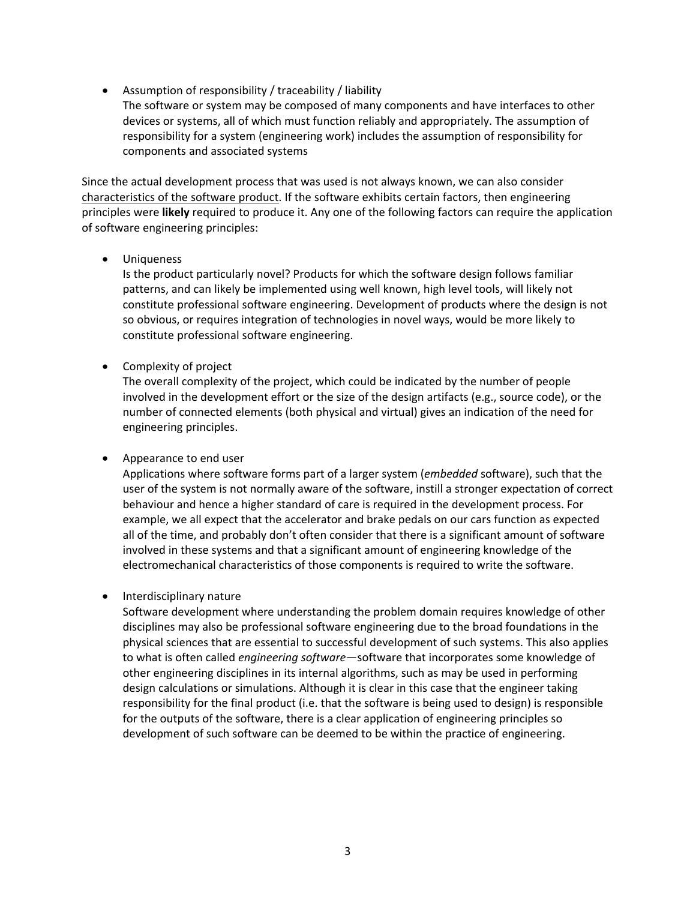- Assumption of responsibility / traceability / liability
- The software or system may be composed of many components and have interfaces to other devices or systems, all of which must function reliably and appropriately. The assumption of responsibility for a system (engineering work) includes the assumption of responsibility for components and associated systems

Since the actual development process that was used is not always known, we can also consider characteristics of the software product. If the software exhibits certain factors, then engineering principles were **likely** required to produce it. Any one of the following factors can require the application of software engineering principles:

**•** Uniqueness

Is the product particularly novel? Products for which the software design follows familiar patterns, and can likely be implemented using well known, high level tools, will likely not constitute professional software engineering. Development of products where the design is not so obvious, or requires integration of technologies in novel ways, would be more likely to constitute professional software engineering.

Complexity of project

The overall complexity of the project, which could be indicated by the number of people involved in the development effort or the size of the design artifacts (e.g., source code), or the number of connected elements (both physical and virtual) gives an indication of the need for engineering principles.

# Appearance to end user

Applications where software forms part of a larger system (*embedded* software), such that the user of the system is not normally aware of the software, instill a stronger expectation of correct behaviour and hence a higher standard of care is required in the development process. For example, we all expect that the accelerator and brake pedals on our cars function as expected all of the time, and probably don't often consider that there is a significant amount of software involved in these systems and that a significant amount of engineering knowledge of the electromechanical characteristics of those components is required to write the software.

# Interdisciplinary nature

Software development where understanding the problem domain requires knowledge of other disciplines may also be professional software engineering due to the broad foundations in the physical sciences that are essential to successful development of such systems. This also applies to what is often called *engineering software*—software that incorporates some knowledge of other engineering disciplines in its internal algorithms, such as may be used in performing design calculations or simulations. Although it is clear in this case that the engineer taking responsibility for the final product (i.e. that the software is being used to design) is responsible for the outputs of the software, there is a clear application of engineering principles so development of such software can be deemed to be within the practice of engineering.